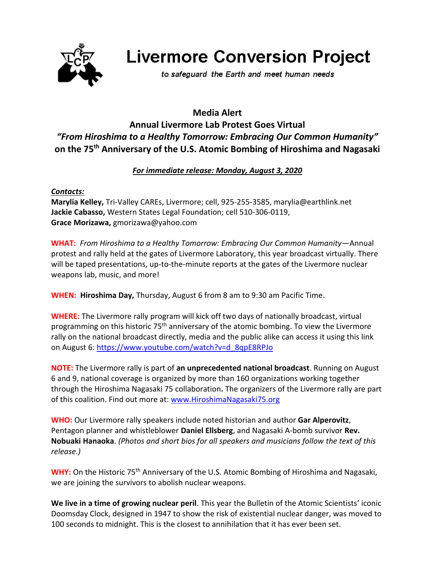

# **Livermore Conversion Project**

to safeguard the Earth and meet human needs

# **Media Alert Annual Livermore Lab Protest Goes Virtual** *"From Hiroshima to a Healthy Tomorrow: Embracing Our Common Humanity"* **on the 75th Anniversary of the U.S. Atomic Bombing of Hiroshima and Nagasaki**

## *For immediate release: Monday, August 3, 2020*

### *Contacts:*

**Marylia Kelley,** Tri-Valley CAREs, Livermore; cell, 925-255-3585, marylia@earthlink.net **Jackie Cabasso,** Western States Legal Foundation; cell 510-306-0119, **Grace Morizawa,** gmorizawa@yahoo.com

**WHAT:** *From Hiroshima to a Healthy Tomorrow: Embracing Our Common Humanity*—Annual protest and rally held at the gates of Livermore Laboratory, this year broadcast virtually. There will be taped presentations, up-to-the-minute reports at the gates of the Livermore nuclear weapons lab, music, and more!

**WHEN: Hiroshima Day,** Thursday, August 6 from 8 am to 9:30 am Pacific Time.

**WHERE:** The Livermore rally program will kick off two days of nationally broadcast, virtual programming on this historic 75th anniversary of the atomic bombing. To view the Livermore rally on the national broadcast directly, media and the public alike can access it using this link on August 6: [https://www.youtube.com/watch?v=d\\_8qpE8RPJo](https://www.youtube.com/watch?v=d_8qpE8RPJo)

**NOTE:** The Livermore rally is part of **an unprecedented national broadcast**. Running on August 6 and 9, national coverage is organized by more than 160 organizations working together through the Hiroshima Nagasaki 75 collaboration**.** The organizers of the Livermore rally are part of this coalition. Find out more at: [www.HiroshimaNagasaki75.org](http://www.hiroshimanagasaki75.org/) 

**WHO:** Our Livermore rally speakers include noted historian and author **Gar Alperovitz**, Pentagon planner and whistleblower **Daniel Ellsberg**, and Nagasaki A-bomb survivor **Rev. Nobuaki Hanaoka**. *(Photos and short bios for all speakers and musicians follow the text of this release.)*

WHY: On the Historic 75<sup>th</sup> Anniversary of the U.S. Atomic Bombing of Hiroshima and Nagasaki, we are joining the survivors to abolish nuclear weapons.

**We live in a time of growing nuclear peril**. This year the Bulletin of the Atomic Scientists' iconic Doomsday Clock, designed in 1947 to show the risk of existential nuclear danger, was moved to 100 seconds to midnight. This is the closest to annihilation that it has ever been set.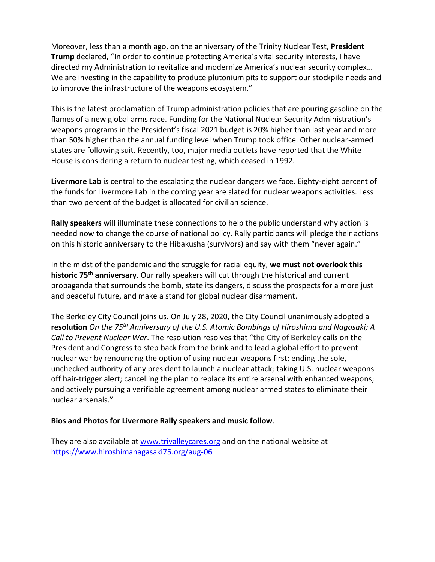Moreover, less than a month ago, on the anniversary of the Trinity Nuclear Test, **President Trump** declared, "In order to continue protecting America's vital security interests, I have directed my Administration to revitalize and modernize America's nuclear security complex… We are investing in the capability to produce plutonium pits to support our stockpile needs and to improve the infrastructure of the weapons ecosystem."

This is the latest proclamation of Trump administration policies that are pouring gasoline on the flames of a new global arms race. Funding for the National Nuclear Security Administration's weapons programs in the President's fiscal 2021 budget is 20% higher than last year and more than 50% higher than the annual funding level when Trump took office. Other nuclear-armed states are following suit. Recently, too, major media outlets have reported that the White House is considering a return to nuclear testing, which ceased in 1992.

**Livermore Lab** is central to the escalating the nuclear dangers we face. Eighty-eight percent of the funds for Livermore Lab in the coming year are slated for nuclear weapons activities. Less than two percent of the budget is allocated for civilian science.

**Rally speakers** will illuminate these connections to help the public understand why action is needed now to change the course of national policy. Rally participants will pledge their actions on this historic anniversary to the Hibakusha (survivors) and say with them "never again."

In the midst of the pandemic and the struggle for racial equity, **we must not overlook this historic 75th anniversary**. Our rally speakers will cut through the historical and current propaganda that surrounds the bomb, state its dangers, discuss the prospects for a more just and peaceful future, and make a stand for global nuclear disarmament.

The Berkeley City Council joins us. On July 28, 2020, the City Council unanimously adopted a **resolution** *On the 75th Anniversary of the U.S. Atomic Bombings of Hiroshima and Nagasaki; A Call to Prevent Nuclear War*. The resolution resolves that "the City of Berkeley calls on the President and Congress to step back from the brink and to lead a global effort to prevent nuclear war by renouncing the option of using nuclear weapons first; ending the sole, unchecked authority of any president to launch a nuclear attack; taking U.S. nuclear weapons off hair-trigger alert; cancelling the plan to replace its entire arsenal with enhanced weapons; and actively pursuing a verifiable agreement among nuclear armed states to eliminate their nuclear arsenals."

#### **Bios and Photos for Livermore Rally speakers and music follow**.

They are also available at [www.trivalleycares.org](http://www.trivalleycares.org/) and on the national website at <https://www.hiroshimanagasaki75.org/aug-06>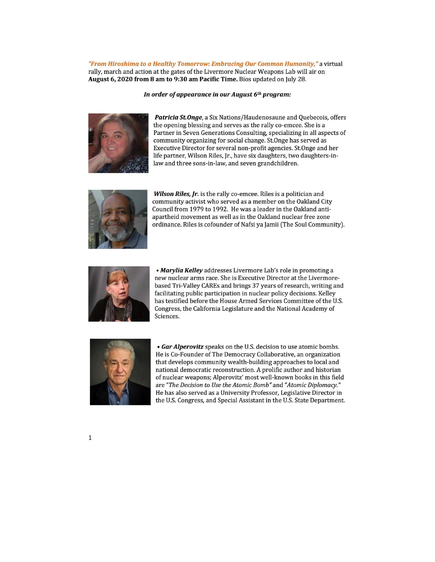"From Hiroshima to a Healthy Tomorrow: Embracina Our Common Humanity." a virtual rally, march and action at the gates of the Livermore Nuclear Weapons Lab will air on August 6, 2020 from 8 am to 9:30 am Pacific Time. Bios updated on July 28.

#### In order of appearance in our August 6th program:



Patricia St. Onge, a Six Nations/Haudenosaune and Quebecois, offers the opening blessing and serves as the rally co-emcee. She is a Partner in Seven Generations Consulting, specializing in all aspects of community organizing for social change. St.Onge has served as Executive Director for several non-profit agencies. St.Onge and her life partner, Wilson Riles, Jr., have six daughters, two daughters-inlaw and three sons-in-law, and seven grandchildren.



Wilson Riles, Jr. is the rally co-emcee. Riles is a politician and community activist who served as a member on the Oakland City Council from 1979 to 1992. He was a leader in the Oakland antiapartheid movement as well as in the Oakland nuclear free zone ordinance. Riles is cofounder of Nafsi ya Jamii (The Soul Community).



• Marylia Kelley addresses Livermore Lab's role in promoting a new nuclear arms race. She is Executive Director at the Livermorebased Tri-Valley CAREs and brings 37 years of research, writing and facilitating public participation in nuclear policy decisions. Kelley has testified before the House Armed Services Committee of the U.S. Congress, the California Legislature and the National Academy of Sciences.



• Gar Alperovitz speaks on the U.S. decision to use atomic bombs. He is Co-Founder of The Democracy Collaborative, an organization that develops community wealth-building approaches to local and national democratic reconstruction. A prolific author and historian of nuclear weapons; Alperovitz' most well-known books in this field are "The Decision to Use the Atomic Bomb" and "Atomic Diplomacy." He has also served as a University Professor, Legislative Director in the U.S. Congress, and Special Assistant in the U.S. State Department.